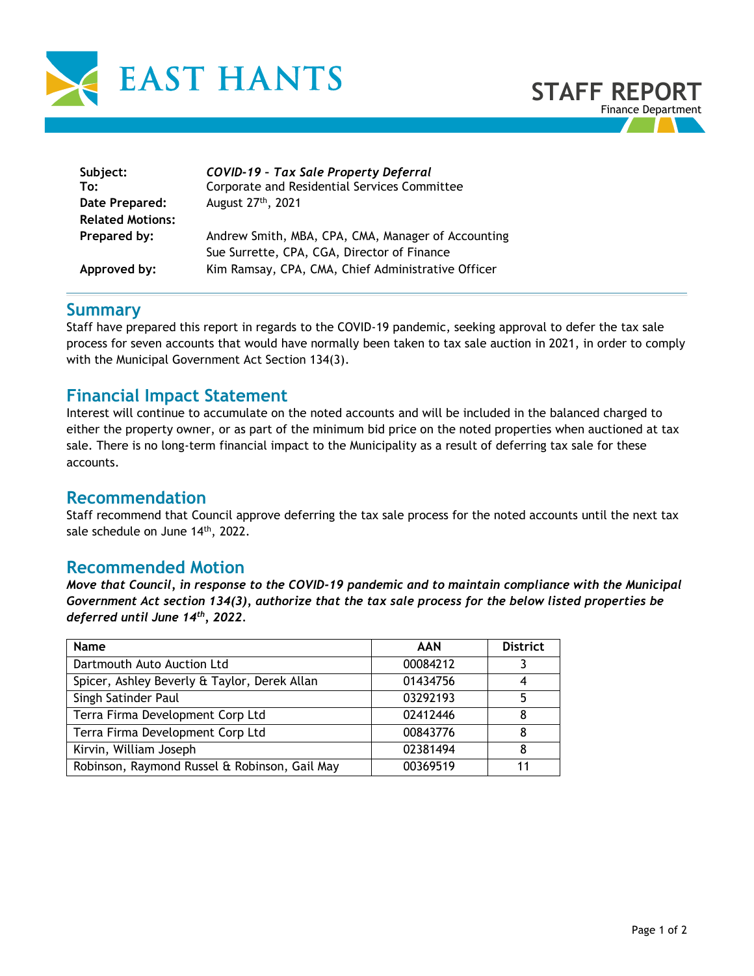

| Subject:                | <b>COVID-19 - Tax Sale Property Deferral</b>       |
|-------------------------|----------------------------------------------------|
| To:                     | Corporate and Residential Services Committee       |
| Date Prepared:          | August 27 <sup>th</sup> , 2021                     |
| <b>Related Motions:</b> | Andrew Smith, MBA, CPA, CMA, Manager of Accounting |
| Prepared by:            | Sue Surrette, CPA, CGA, Director of Finance        |
| Approved by:            | Kim Ramsay, CPA, CMA, Chief Administrative Officer |

### **Summary**

Staff have prepared this report in regards to the COVID-19 pandemic, seeking approval to defer the tax sale process for seven accounts that would have normally been taken to tax sale auction in 2021, in order to comply with the Municipal Government Act Section 134(3).

# **Financial Impact Statement**

Interest will continue to accumulate on the noted accounts and will be included in the balanced charged to either the property owner, or as part of the minimum bid price on the noted properties when auctioned at tax sale. There is no long-term financial impact to the Municipality as a result of deferring tax sale for these accounts.

## **Recommendation**

Staff recommend that Council approve deferring the tax sale process for the noted accounts until the next tax sale schedule on June 14<sup>th</sup>, 2022.

### **Recommended Motion**

*Move that Council, in response to the COVID-19 pandemic and to maintain compliance with the Municipal Government Act section 134(3), authorize that the tax sale process for the below listed properties be deferred until June 14th, 2022.*

| <b>Name</b>                                   | <b>AAN</b> | <b>District</b> |
|-----------------------------------------------|------------|-----------------|
| Dartmouth Auto Auction Ltd                    | 00084212   |                 |
| Spicer, Ashley Beverly & Taylor, Derek Allan  | 01434756   |                 |
| Singh Satinder Paul                           | 03292193   |                 |
| Terra Firma Development Corp Ltd              | 02412446   |                 |
| Terra Firma Development Corp Ltd              | 00843776   |                 |
| Kirvin, William Joseph                        | 02381494   |                 |
| Robinson, Raymond Russel & Robinson, Gail May | 00369519   |                 |

**STAFF REPORT**

Finance Department